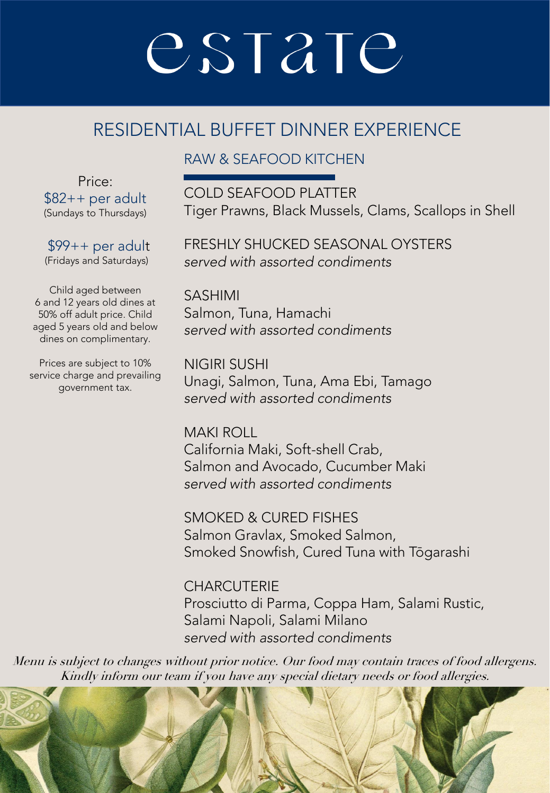### RESIDENTIAL BUFFET DINNER EXPERIENCE

#### RAW & SEAFOOD KITCHEN

Price: \$82++ per adult (Sundays to Thursdays)

\$99++ per adult (Fridays and Saturdays)

Child aged between 6 and 12 years old dines at 50% off adult price. Child aged 5 years old and below dines on complimentary.

Prices are subject to 10% service charge and prevailing government tax.

COLD SEAFOOD PLATTER Tiger Prawns, Black Mussels, Clams, Scallops in Shell

FRESHLY SHUCKED SEASONAL OYSTERS *served with assorted condiments*

SASHIMI Salmon, Tuna, Hamachi *served with assorted condiments*

NIGIRI SUSHI Unagi, Salmon, Tuna, Ama Ebi, Tamago *served with assorted condiments*

MAKI ROLL California Maki, Soft-shell Crab, Salmon and Avocado, Cucumber Maki *served with assorted condiments*

SMOKED & CURED FISHES Salmon Gravlax, Smoked Salmon, Smoked Snowfish, Cured Tuna with Tōgarashi

**CHARCUTERIE** Prosciutto di Parma, Coppa Ham, Salami Rustic, Salami Napoli, Salami Milano *served with assorted condiments*

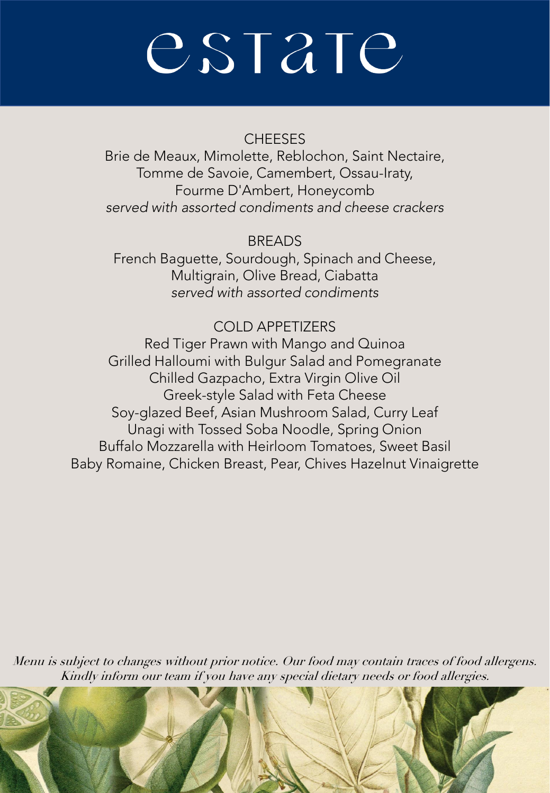#### **CHEESES**

Brie de Meaux, Mimolette, Reblochon, Saint Nectaire, Tomme de Savoie, Camembert, Ossau-Iraty, Fourme D'Ambert, Honeycomb *served with assorted condiments and cheese crackers*

BREADS French Baguette, Sourdough, Spinach and Cheese, Multigrain, Olive Bread, Ciabatta *served with assorted condiments*

#### COLD APPETIZERS

Red Tiger Prawn with Mango and Quinoa Grilled Halloumi with Bulgur Salad and Pomegranate Chilled Gazpacho, Extra Virgin Olive Oil Greek-style Salad with Feta Cheese Soy-glazed Beef, Asian Mushroom Salad, Curry Leaf Unagi with Tossed Soba Noodle, Spring Onion Buffalo Mozzarella with Heirloom Tomatoes, Sweet Basil Baby Romaine, Chicken Breast, Pear, Chives Hazelnut Vinaigrette

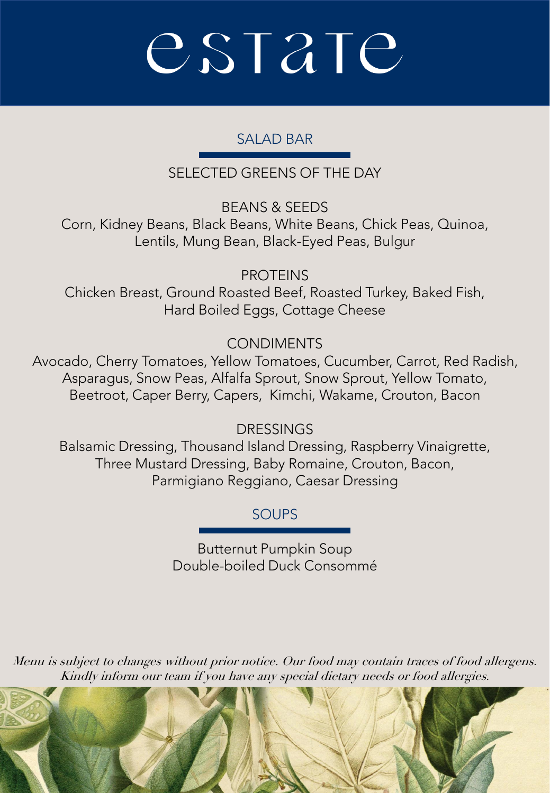#### SALAD BAR

SELECTED GREENS OF THE DAY

BEANS & SEEDS Corn, Kidney Beans, Black Beans, White Beans, Chick Peas, Quinoa, Lentils, Mung Bean, Black-Eyed Peas, Bulgur

PROTEINS Chicken Breast, Ground Roasted Beef, Roasted Turkey, Baked Fish, Hard Boiled Eggs, Cottage Cheese

**CONDIMENTS** 

Avocado, Cherry Tomatoes, Yellow Tomatoes, Cucumber, Carrot, Red Radish, Asparagus, Snow Peas, Alfalfa Sprout, Snow Sprout, Yellow Tomato, Beetroot, Caper Berry, Capers, Kimchi, Wakame, Crouton, Bacon

DRESSINGS

Balsamic Dressing, Thousand Island Dressing, Raspberry Vinaigrette, Three Mustard Dressing, Baby Romaine, Crouton, Bacon, Parmigiano Reggiano, Caesar Dressing

**SOUPS** 

Butternut Pumpkin Soup Double-boiled Duck Consommé

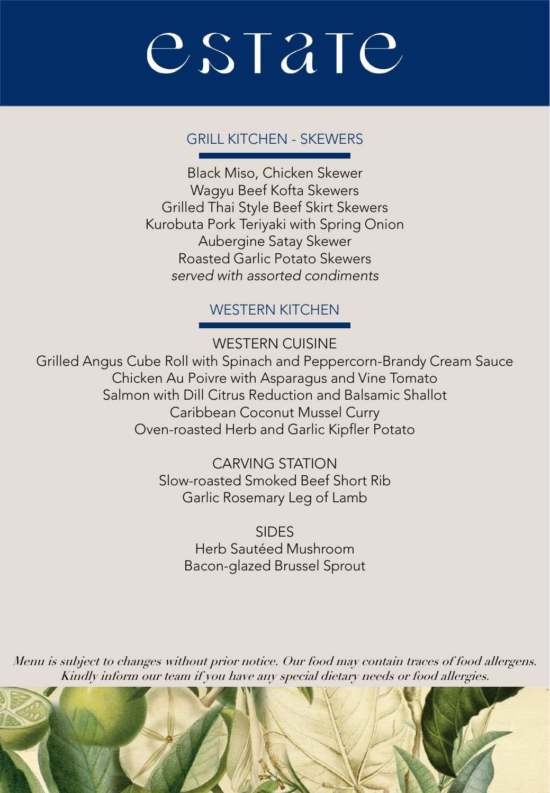#### GRILL KITCHEN - SKEWERS

Black Miso, Chicken Skewer Wagyu Beef Kofta Skewers Grilled Thai Style Beef Skirt Skewers Kurobuta Pork Teriyaki with Spring Onion Aubergine Satay Skewer Roasted Garlic Potato Skewers *served with assorted condiments*

#### WESTERN KITCHEN

WESTERN CUISINE

Grilled Angus Cube Roll with Spinach and Peppercorn-Brandy Cream Sauce Chicken Au Poivre with Asparagus and Vine Tomato Salmon with Dill Citrus Reduction and Balsamic Shallot Caribbean Coconut Mussel Curry Oven-roasted Herb and Garlic Kipfler Potato

> CARVING STATION Slow-roasted Smoked Beef Short Rib Garlic Rosemary Leg of Lamb

> > SIDES Herb Sautéed Mushroom Bacon-glazed Brussel Sprout

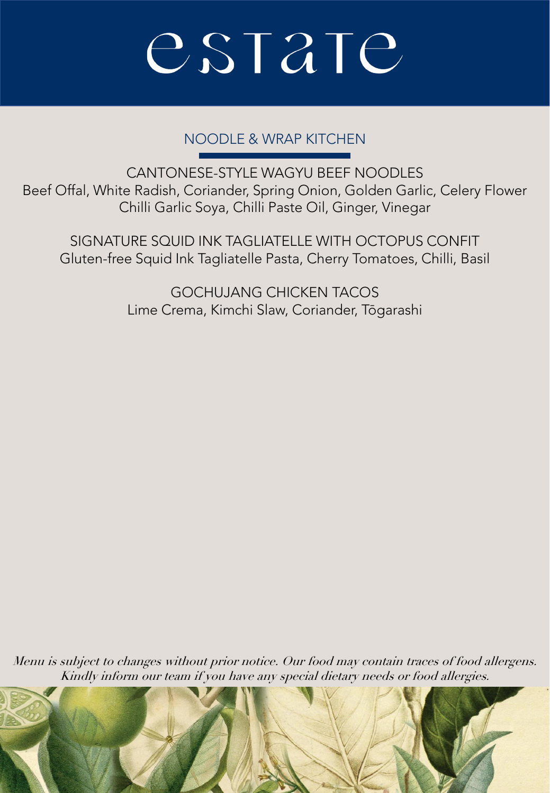#### NOODLE & WRAP KITCHEN

CANTONESE-STYLE WAGYU BEEF NOODLES Beef Offal, White Radish, Coriander, Spring Onion, Golden Garlic, Celery Flower Chilli Garlic Soya, Chilli Paste Oil, Ginger, Vinegar

SIGNATURE SQUID INK TAGLIATELLE WITH OCTOPUS CONFIT Gluten-free Squid Ink Tagliatelle Pasta, Cherry Tomatoes, Chilli, Basil

> GOCHUJANG CHICKEN TACOS Lime Crema, Kimchi Slaw, Coriander, Tōgarashi

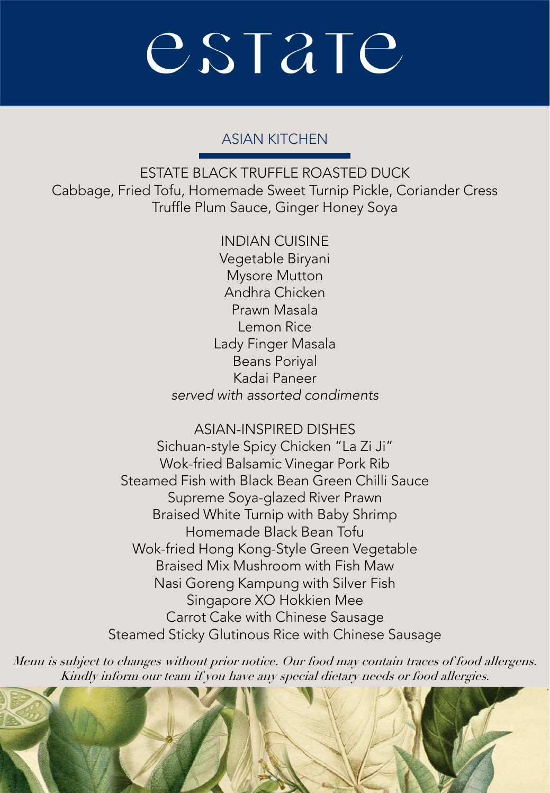#### ASIAN KITCHEN

ESTATE BLACK TRUFFLE ROASTED DUCK Cabbage, Fried Tofu, Homemade Sweet Turnip Pickle, Coriander Cress Truffle Plum Sauce, Ginger Honey Soya

> INDIAN CUISINE Vegetable Biryani Mysore Mutton Andhra Chicken Prawn Masala Lemon Rice Lady Finger Masala Beans Poriyal Kadai Paneer *served with assorted condiments*

ASIAN-INSPIRED DISHES Sichuan-style Spicy Chicken "La Zi Ji" Wok-fried Balsamic Vinegar Pork Rib Steamed Fish with Black Bean Green Chilli Sauce Supreme Soya-glazed River Prawn Braised White Turnip with Baby Shrimp Homemade Black Bean Tofu Wok-fried Hong Kong-Style Green Vegetable Braised Mix Mushroom with Fish Maw Nasi Goreng Kampung with Silver Fish Singapore XO Hokkien Mee Carrot Cake with Chinese Sausage Steamed Sticky Glutinous Rice with Chinese Sausage